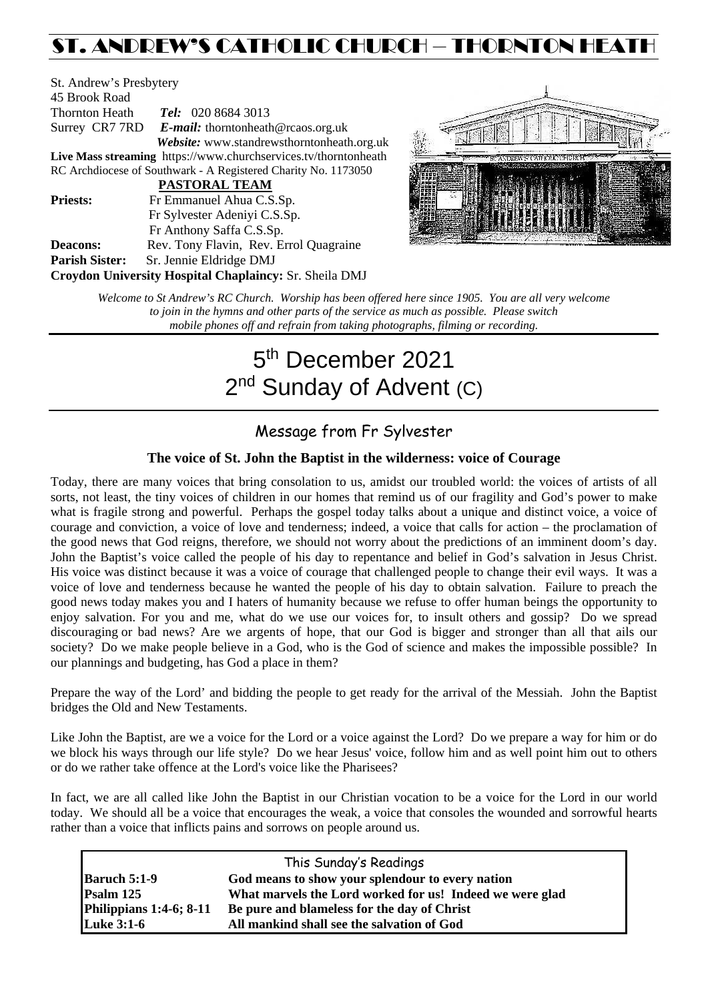## ST. ANDREW'S CATHOLIC CHURCH – THORNTON HEATH

St. Andrew's Presbytery 45 Brook Road Thornton Heath *Tel:* 020 8684 3013 Surrey CR7 7RD *E-mail:* [thorntonheath@rcaos.org.uk](mailto:thorntonheath@rcaos.org.uk) *Website:* www.standrewsthorntonheath.org.uk **Live Mass streaming** <https://www.churchservices.tv/thorntonheath> RC Archdiocese of Southwark - A Registered Charity No. 1173050  **PASTORAL TEAM Priests:** Fr Emmanuel Ahua C.S.Sp. Fr Sylvester Adeniyi C.S.Sp. Fr Anthony Saffa C.S.Sp. **Deacons:** Rev. Tony Flavin, Rev. Errol Quagraine **Parish Sister:** Sr. Jennie Eldridge DMJ **Croydon University Hospital Chaplaincy:** Sr. Sheila DMJ



*Welcome to St Andrew's RC Church. Worship has been offered here since 1905. You are all very welcome to join in the hymns and other parts of the service as much as possible. Please switch mobile phones off and refrain from taking photographs, filming or recording.*

# 5<sup>th</sup> December 2021 2<sup>nd</sup> Sunday of Advent (C)

### Message from Fr Sylvester

#### **The voice of St. John the Baptist in the wilderness: voice of Courage**

Today, there are many voices that bring consolation to us, amidst our troubled world: the voices of artists of all sorts, not least, the tiny voices of children in our homes that remind us of our fragility and God's power to make what is fragile strong and powerful. Perhaps the gospel today talks about a unique and distinct voice, a voice of courage and conviction, a voice of love and tenderness; indeed, a voice that calls for action – the proclamation of the good news that God reigns, therefore, we should not worry about the predictions of an imminent doom's day. John the Baptist's voice called the people of his day to repentance and belief in God's salvation in Jesus Christ. His voice was distinct because it was a voice of courage that challenged people to change their evil ways. It was a voice of love and tenderness because he wanted the people of his day to obtain salvation. Failure to preach the good news today makes you and I haters of humanity because we refuse to offer human beings the opportunity to enjoy salvation. For you and me, what do we use our voices for, to insult others and gossip? Do we spread discouraging or bad news? Are we argents of hope, that our God is bigger and stronger than all that ails our society? Do we make people believe in a God, who is the God of science and makes the impossible possible? In our plannings and budgeting, has God a place in them?

Prepare the way of the Lord' and bidding the people to get ready for the arrival of the Messiah. John the Baptist bridges the Old and New Testaments.

Like John the Baptist, are we a voice for the Lord or a voice against the Lord? Do we prepare a way for him or do we block his ways through our life style? Do we hear Jesus' voice, follow him and as well point him out to others or do we rather take offence at the Lord's voice like the Pharisees?

In fact, we are all called like John the Baptist in our Christian vocation to be a voice for the Lord in our world today. We should all be a voice that encourages the weak, a voice that consoles the wounded and sorrowful hearts rather than a voice that inflicts pains and sorrows on people around us.

| This Sunday's Readings  |                                                          |  |  |  |
|-------------------------|----------------------------------------------------------|--|--|--|
| <b>Baruch 5:1-9</b>     | God means to show your splendour to every nation         |  |  |  |
| Psalm 125               | What marvels the Lord worked for us! Indeed we were glad |  |  |  |
| Philippians 1:4-6; 8-11 | Be pure and blameless for the day of Christ              |  |  |  |
| <b>Luke 3:1-6</b>       | All mankind shall see the salvation of God               |  |  |  |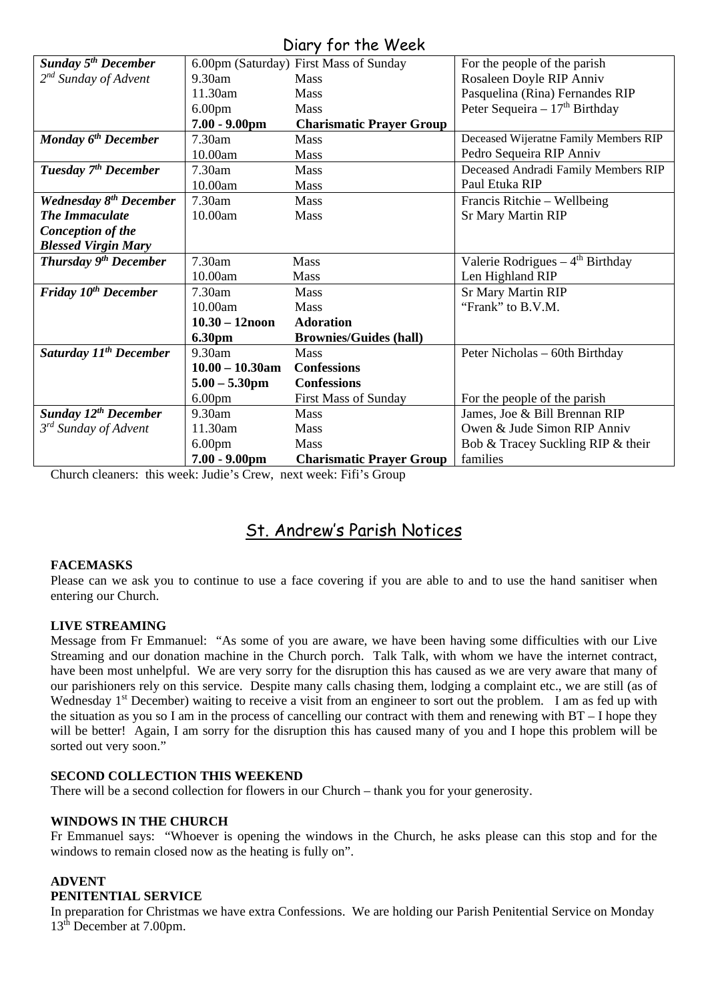#### Diary for the Week

| UNIY JUI THE WEEN                     |                    |                                        |                                               |  |
|---------------------------------------|--------------------|----------------------------------------|-----------------------------------------------|--|
| <b>Sunday 5<sup>th</sup> December</b> |                    | 6.00pm (Saturday) First Mass of Sunday | For the people of the parish                  |  |
| $2^{nd}$ Sunday of Advent             | $9.30$ am          | <b>Mass</b>                            | Rosaleen Doyle RIP Anniv                      |  |
|                                       | 11.30am            | <b>Mass</b>                            | Pasquelina (Rina) Fernandes RIP               |  |
|                                       | 6.00 <sub>pm</sub> | Mass                                   | Peter Sequeira - $17th$ Birthday              |  |
|                                       | $7.00 - 9.00$ pm   | <b>Charismatic Prayer Group</b>        |                                               |  |
| Monday 6 <sup>th</sup> December       | 7.30am             | Mass                                   | Deceased Wijeratne Family Members RIP         |  |
|                                       | 10.00am            | <b>Mass</b>                            | Pedro Sequeira RIP Anniv                      |  |
| Tuesday 7 <sup>th</sup> December      | 7.30am             | Mass                                   | Deceased Andradi Family Members RIP           |  |
|                                       | 10.00am            | <b>Mass</b>                            | Paul Etuka RIP                                |  |
| <b>Wednesday 8th December</b>         | 7.30am             | Mass                                   | Francis Ritchie – Wellbeing                   |  |
| <b>The Immaculate</b>                 | 10.00am            | Mass                                   | <b>Sr Mary Martin RIP</b>                     |  |
| Conception of the                     |                    |                                        |                                               |  |
| <b>Blessed Virgin Mary</b>            |                    |                                        |                                               |  |
| Thursday 9 <sup>th</sup> December     | 7.30am             | Mass                                   | Valerie Rodrigues $-4$ <sup>th</sup> Birthday |  |
|                                       | 10.00am            | <b>Mass</b>                            | Len Highland RIP                              |  |
| Friday 10 <sup>th</sup> December      | 7.30am             | <b>Mass</b>                            | <b>Sr Mary Martin RIP</b>                     |  |
|                                       | 10.00am            | <b>Mass</b>                            | "Frank" to B.V.M.                             |  |
|                                       | $10.30 - 12$ noon  | <b>Adoration</b>                       |                                               |  |
|                                       | <b>6.30pm</b>      | <b>Brownies/Guides (hall)</b>          |                                               |  |
| Saturday 11 <sup>th</sup> December    | 9.30am             | <b>Mass</b>                            | Peter Nicholas – 60th Birthday                |  |
|                                       | $10.00 - 10.30$ am | <b>Confessions</b>                     |                                               |  |
|                                       | $5.00 - 5.30$ pm   | <b>Confessions</b>                     |                                               |  |
|                                       | 6.00 <sub>pm</sub> | <b>First Mass of Sunday</b>            | For the people of the parish                  |  |
| <b>Sunday 12th December</b>           | $9.30$ am          | <b>Mass</b>                            | James, Joe & Bill Brennan RIP                 |  |
| 3 <sup>rd</sup> Sunday of Advent      | 11.30am            | <b>Mass</b>                            | Owen & Jude Simon RIP Anniv                   |  |
|                                       | 6.00 <sub>pm</sub> | Mass                                   | Bob & Tracey Suckling RIP & their             |  |
|                                       | $7.00 - 9.00$ pm   | <b>Charismatic Prayer Group</b>        | families                                      |  |

Church cleaners: this week: Judie's Crew, next week: Fifi's Group

### St. Andrew's Parish Notices

#### **FACEMASKS**

Please can we ask you to continue to use a face covering if you are able to and to use the hand sanitiser when entering our Church.

#### **LIVE STREAMING**

Message from Fr Emmanuel: "As some of you are aware, we have been having some difficulties with our Live Streaming and our donation machine in the Church porch. Talk Talk, with whom we have the internet contract, have been most unhelpful. We are very sorry for the disruption this has caused as we are very aware that many of our parishioners rely on this service. Despite many calls chasing them, lodging a complaint etc., we are still (as of Wednesday 1<sup>st</sup> December) waiting to receive a visit from an engineer to sort out the problem. I am as fed up with the situation as you so I am in the process of cancelling our contract with them and renewing with BT – I hope they will be better! Again, I am sorry for the disruption this has caused many of you and I hope this problem will be sorted out very soon."

#### **SECOND COLLECTION THIS WEEKEND**

There will be a second collection for flowers in our Church – thank you for your generosity.

#### **WINDOWS IN THE CHURCH**

Fr Emmanuel says: "Whoever is opening the windows in the Church, he asks please can this stop and for the windows to remain closed now as the heating is fully on".

#### **ADVENT**

#### **PENITENTIAL SERVICE**

In preparation for Christmas we have extra Confessions. We are holding our Parish Penitential Service on Monday 13th December at 7.00pm.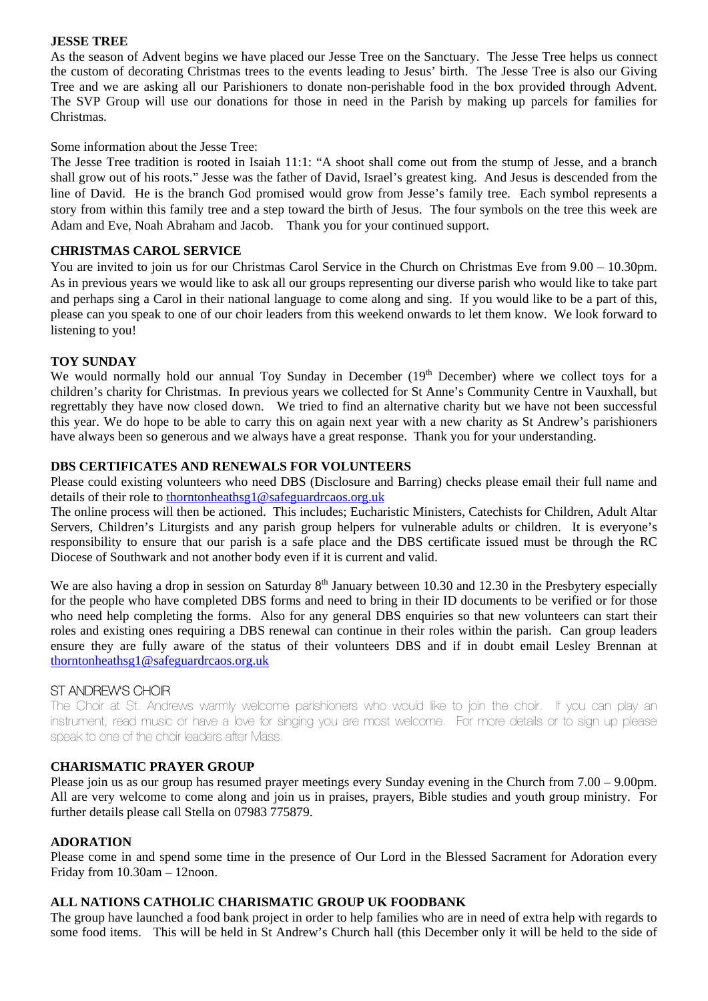#### **JESSE TREE**

As the season of Advent begins we have placed our Jesse Tree on the Sanctuary. The Jesse Tree helps us connect the custom of decorating Christmas trees to the events leading to Jesus' birth. The Jesse Tree is also our Giving Tree and we are asking all our Parishioners to donate non-perishable food in the box provided through Advent. The SVP Group will use our donations for those in need in the Parish by making up parcels for families for Christmas.

Some information about the Jesse Tree:

The Jesse Tree tradition is rooted in Isaiah 11:1: "A shoot shall come out from the stump of Jesse, and a branch shall grow out of his roots." Jesse was the father of David, Israel's greatest king. And Jesus is descended from the line of David. He is the branch God promised would grow from Jesse's family tree. Each symbol represents a story from within this family tree and a step toward the birth of Jesus. The four symbols on the tree this week are Adam and Eve, Noah Abraham and Jacob. Thank you for your continued support.

#### **CHRISTMAS CAROL SERVICE**

You are invited to join us for our Christmas Carol Service in the Church on Christmas Eve from 9.00 – 10.30pm. As in previous years we would like to ask all our groups representing our diverse parish who would like to take part and perhaps sing a Carol in their national language to come along and sing. If you would like to be a part of this, please can you speak to one of our choir leaders from this weekend onwards to let them know. We look forward to listening to you!

#### **TOY SUNDAY**

We would normally hold our annual Toy Sunday in December  $(19<sup>th</sup>$  December) where we collect toys for a children's charity for Christmas. In previous years we collected for St Anne's Community Centre in Vauxhall, but regrettably they have now closed down. We tried to find an alternative charity but we have not been successful this year. We do hope to be able to carry this on again next year with a new charity as St Andrew's parishioners have always been so generous and we always have a great response. Thank you for your understanding.

#### **DBS CERTIFICATES AND RENEWALS FOR VOLUNTEERS**

Please could existing volunteers who need DBS (Disclosure and Barring) checks please email their full name and details of their role to [thorntonheathsg1@safeguardrcaos.org.uk](mailto:thorntonheathsg1@safeguardrcaos.org.uk)

The online process will then be actioned. This includes; Eucharistic Ministers, Catechists for Children, Adult Altar Servers, Children's Liturgists and any parish group helpers for vulnerable adults or children. It is everyone's responsibility to ensure that our parish is a safe place and the DBS certificate issued must be through the RC Diocese of Southwark and not another body even if it is current and valid.

We are also having a drop in session on Saturday  $8<sup>th</sup>$  January between 10.30 and 12.30 in the Presbytery especially for the people who have completed DBS forms and need to bring in their ID documents to be verified or for those who need help completing the forms. Also for any general DBS enquiries so that new volunteers can start their roles and existing ones requiring a DBS renewal can continue in their roles within the parish. Can group leaders ensure they are fully aware of the status of their volunteers DBS and if in doubt email Lesley Brennan at [thorntonheathsg1@safeguardrcaos.org.uk](mailto:thorntonheathsg1@safeguardrcaos.org.uk)

#### ST ANDREW'S CHOIR

The Choir at St. Andrews warmly welcome parishioners who would like to join the choir. If you can play an instrument, read music or have a love for singing you are most welcome. For more details or to sign up please speak to one of the choir leaders after Mass.

#### **CHARISMATIC PRAYER GROUP**

Please join us as our group has resumed prayer meetings every Sunday evening in the Church from 7.00 – 9.00pm. All are very welcome to come along and join us in praises, prayers, Bible studies and youth group ministry. For further details please call Stella on 07983 775879.

#### **ADORATION**

Please come in and spend some time in the presence of Our Lord in the Blessed Sacrament for Adoration every Friday from 10.30am – 12noon.

#### **ALL NATIONS CATHOLIC CHARISMATIC GROUP UK FOODBANK**

The group have launched a food bank project in order to help families who are in need of extra help with regards to some food items. This will be held in St Andrew's Church hall (this December only it will be held to the side of